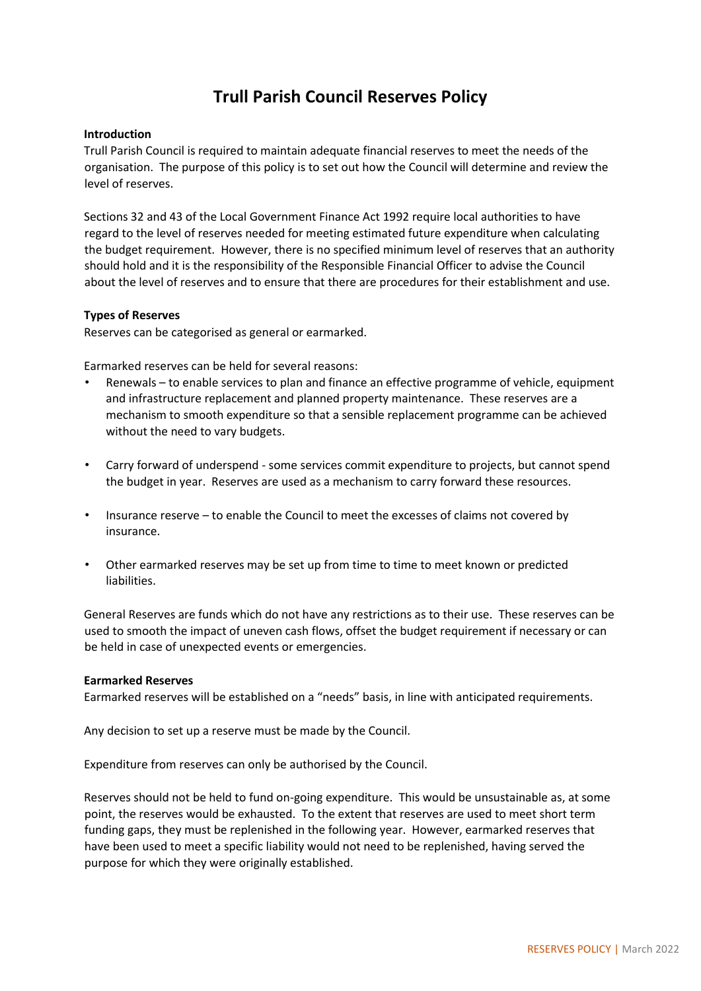# **Trull Parish Council Reserves Policy**

## **Introduction**

Trull Parish Council is required to maintain adequate financial reserves to meet the needs of the organisation. The purpose of this policy is to set out how the Council will determine and review the level of reserves.

Sections 32 and 43 of the Local Government Finance Act 1992 require local authorities to have regard to the level of reserves needed for meeting estimated future expenditure when calculating the budget requirement. However, there is no specified minimum level of reserves that an authority should hold and it is the responsibility of the Responsible Financial Officer to advise the Council about the level of reserves and to ensure that there are procedures for their establishment and use.

### **Types of Reserves**

Reserves can be categorised as general or earmarked.

Earmarked reserves can be held for several reasons:

- Renewals to enable services to plan and finance an effective programme of vehicle, equipment and infrastructure replacement and planned property maintenance. These reserves are a mechanism to smooth expenditure so that a sensible replacement programme can be achieved without the need to vary budgets.
- Carry forward of underspend some services commit expenditure to projects, but cannot spend the budget in year. Reserves are used as a mechanism to carry forward these resources.
- Insurance reserve to enable the Council to meet the excesses of claims not covered by insurance.
- Other earmarked reserves may be set up from time to time to meet known or predicted liabilities.

General Reserves are funds which do not have any restrictions as to their use. These reserves can be used to smooth the impact of uneven cash flows, offset the budget requirement if necessary or can be held in case of unexpected events or emergencies.

#### **Earmarked Reserves**

Earmarked reserves will be established on a "needs" basis, in line with anticipated requirements.

Any decision to set up a reserve must be made by the Council.

Expenditure from reserves can only be authorised by the Council.

Reserves should not be held to fund on-going expenditure. This would be unsustainable as, at some point, the reserves would be exhausted. To the extent that reserves are used to meet short term funding gaps, they must be replenished in the following year. However, earmarked reserves that have been used to meet a specific liability would not need to be replenished, having served the purpose for which they were originally established.